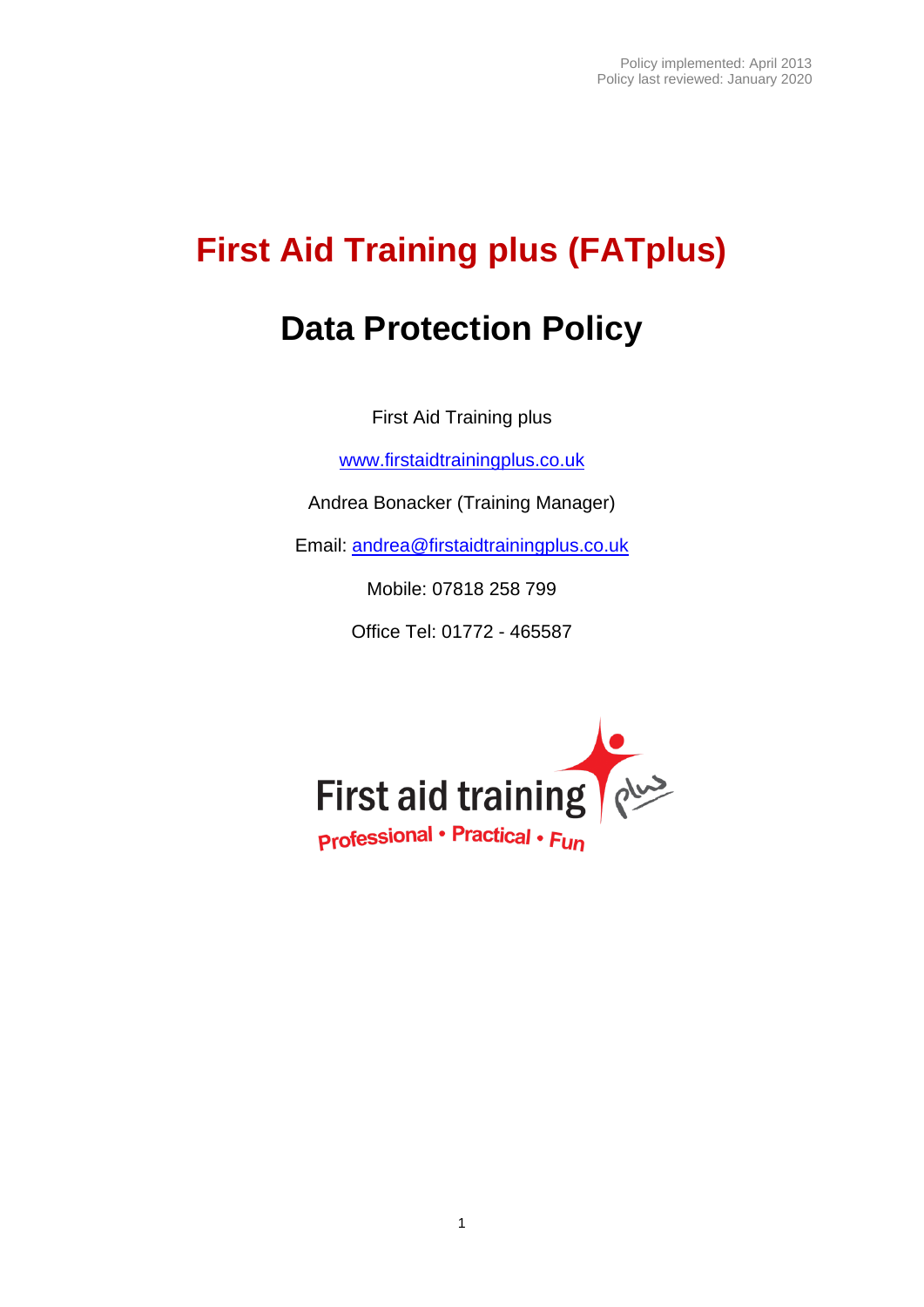# **First Aid Training plus (FATplus)**

## **Data Protection Policy**

First Aid Training plus

[www.firstaidtrainingplus.co.uk](http://www.firstaidtrainingplus.co.uk/)

Andrea Bonacker (Training Manager)

Email: [andrea@firstaidtrainingplus.co.uk](mailto:andrea@firstaidtrainingplus.co.uk)

Mobile: 07818 258 799

Office Tel: 01772 - 465587

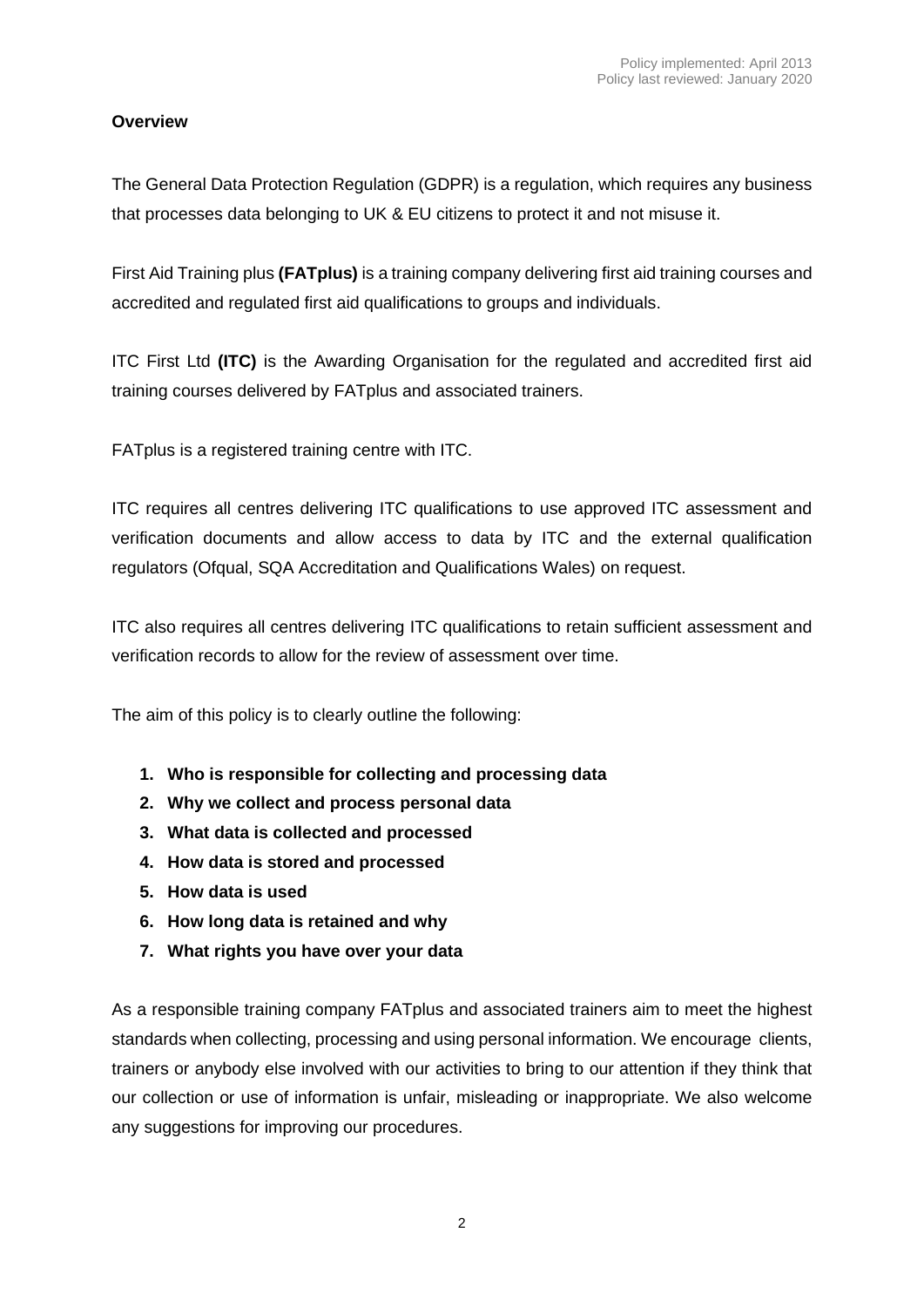## **Overview**

The General Data Protection Regulation (GDPR) is a regulation, which requires any business that processes data belonging to UK & EU citizens to protect it and not misuse it.

First Aid Training plus **(FATplus)** is a training company delivering first aid training courses and accredited and regulated first aid qualifications to groups and individuals.

ITC First Ltd **(ITC)** is the Awarding Organisation for the regulated and accredited first aid training courses delivered by FATplus and associated trainers.

FATplus is a registered training centre with ITC.

ITC requires all centres delivering ITC qualifications to use approved ITC assessment and verification documents and allow access to data by ITC and the external qualification regulators (Ofqual, SQA Accreditation and Qualifications Wales) on request.

ITC also requires all centres delivering ITC qualifications to retain sufficient assessment and verification records to allow for the review of assessment over time.

The aim of this policy is to clearly outline the following:

- **1. Who is responsible for collecting and processing data**
- **2. Why we collect and process personal data**
- **3. What data is collected and processed**
- **4. How data is stored and processed**
- **5. How data is used**
- **6. How long data is retained and why**
- **7. What rights you have over your data**

As a responsible training company FATplus and associated trainers aim to meet the highest standards when collecting, processing and using personal information. We encourage clients, trainers or anybody else involved with our activities to bring to our attention if they think that our collection or use of information is unfair, misleading or inappropriate. We also welcome any suggestions for improving our procedures.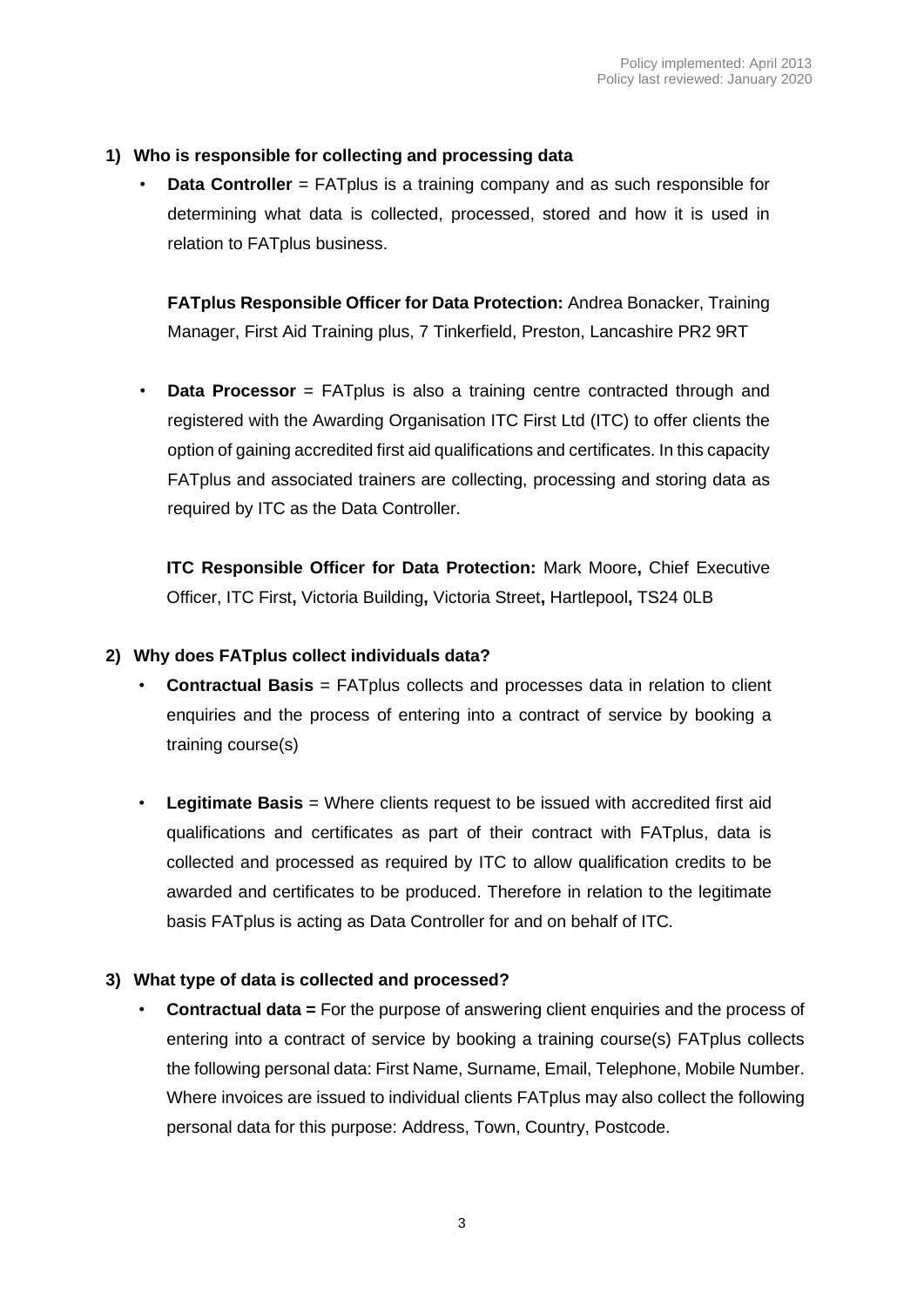#### **1) Who is responsible for collecting and processing data**

• **Data Controller** = FATplus is a training company and as such responsible for determining what data is collected, processed, stored and how it is used in relation to FATplus business.

**FATplus Responsible Officer for Data Protection:** Andrea Bonacker, Training Manager, First Aid Training plus, 7 Tinkerfield, Preston, Lancashire PR2 9RT

**Data Processor** = FATplus is also a training centre contracted through and registered with the Awarding Organisation ITC First Ltd (ITC) to offer clients the option of gaining accredited first aid qualifications and certificates. In this capacity FATplus and associated trainers are collecting, processing and storing data as required by ITC as the Data Controller.

**ITC Responsible Officer for Data Protection:** Mark Moore**,** Chief Executive Officer, ITC First**,** Victoria Building**,** Victoria Street**,** Hartlepool**,** TS24 0LB

#### **2) Why does FATplus collect individuals data?**

- **Contractual Basis** = FATplus collects and processes data in relation to client enquiries and the process of entering into a contract of service by booking a training course(s)
- **Legitimate Basis** = Where clients request to be issued with accredited first aid qualifications and certificates as part of their contract with FATplus, data is collected and processed as required by ITC to allow qualification credits to be awarded and certificates to be produced. Therefore in relation to the legitimate basis FATplus is acting as Data Controller for and on behalf of ITC.

#### **3) What type of data is collected and processed?**

• **Contractual data =** For the purpose of answering client enquiries and the process of entering into a contract of service by booking a training course(s) FATplus collects the following personal data: First Name, Surname, Email, Telephone, Mobile Number. Where invoices are issued to individual clients FATplus may also collect the following personal data for this purpose: Address, Town, Country, Postcode.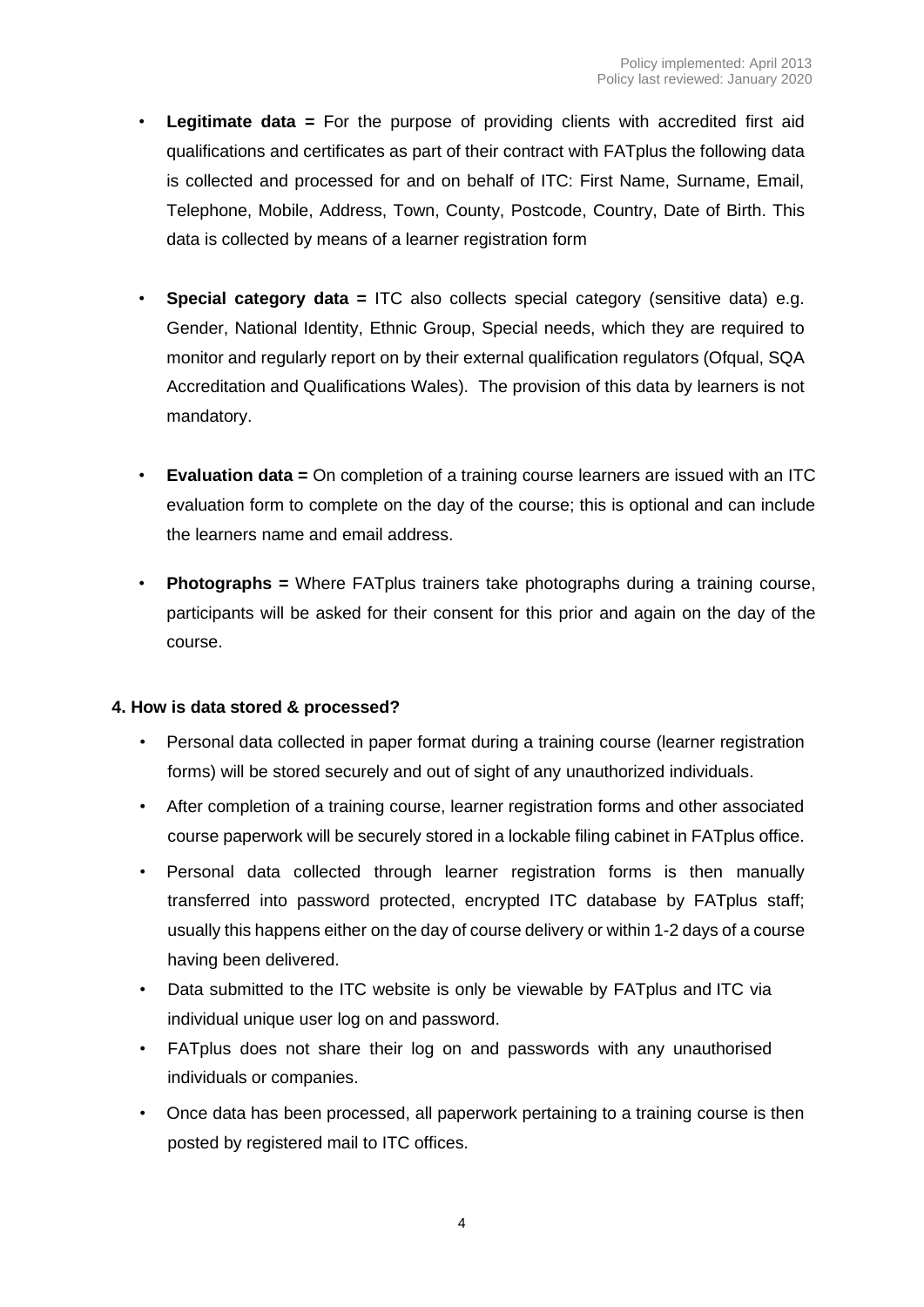- **Legitimate data =** For the purpose of providing clients with accredited first aid qualifications and certificates as part of their contract with FATplus the following data is collected and processed for and on behalf of ITC: First Name, Surname, Email, Telephone, Mobile, Address, Town, County, Postcode, Country, Date of Birth. This data is collected by means of a learner registration form
- **Special category data =** ITC also collects special category (sensitive data) e.g. Gender, National Identity, Ethnic Group, Special needs, which they are required to monitor and regularly report on by their external qualification regulators (Ofqual, SQA Accreditation and Qualifications Wales). The provision of this data by learners is not mandatory.
- **Evaluation data =** On completion of a training course learners are issued with an ITC evaluation form to complete on the day of the course; this is optional and can include the learners name and email address.
- **Photographs =** Where FATplus trainers take photographs during a training course, participants will be asked for their consent for this prior and again on the day of the course.

### **4. How is data stored & processed?**

- Personal data collected in paper format during a training course (learner registration forms) will be stored securely and out of sight of any unauthorized individuals.
- After completion of a training course, learner registration forms and other associated course paperwork will be securely stored in a lockable filing cabinet in FATplus office.
- Personal data collected through learner registration forms is then manually transferred into password protected, encrypted ITC database by FATplus staff; usually this happens either on the day of course delivery or within 1-2 days of a course having been delivered.
- Data submitted to the ITC website is only be viewable by FATplus and ITC via individual unique user log on and password.
- FATplus does not share their log on and passwords with any unauthorised individuals or companies.
- Once data has been processed, all paperwork pertaining to a training course is then posted by registered mail to ITC offices.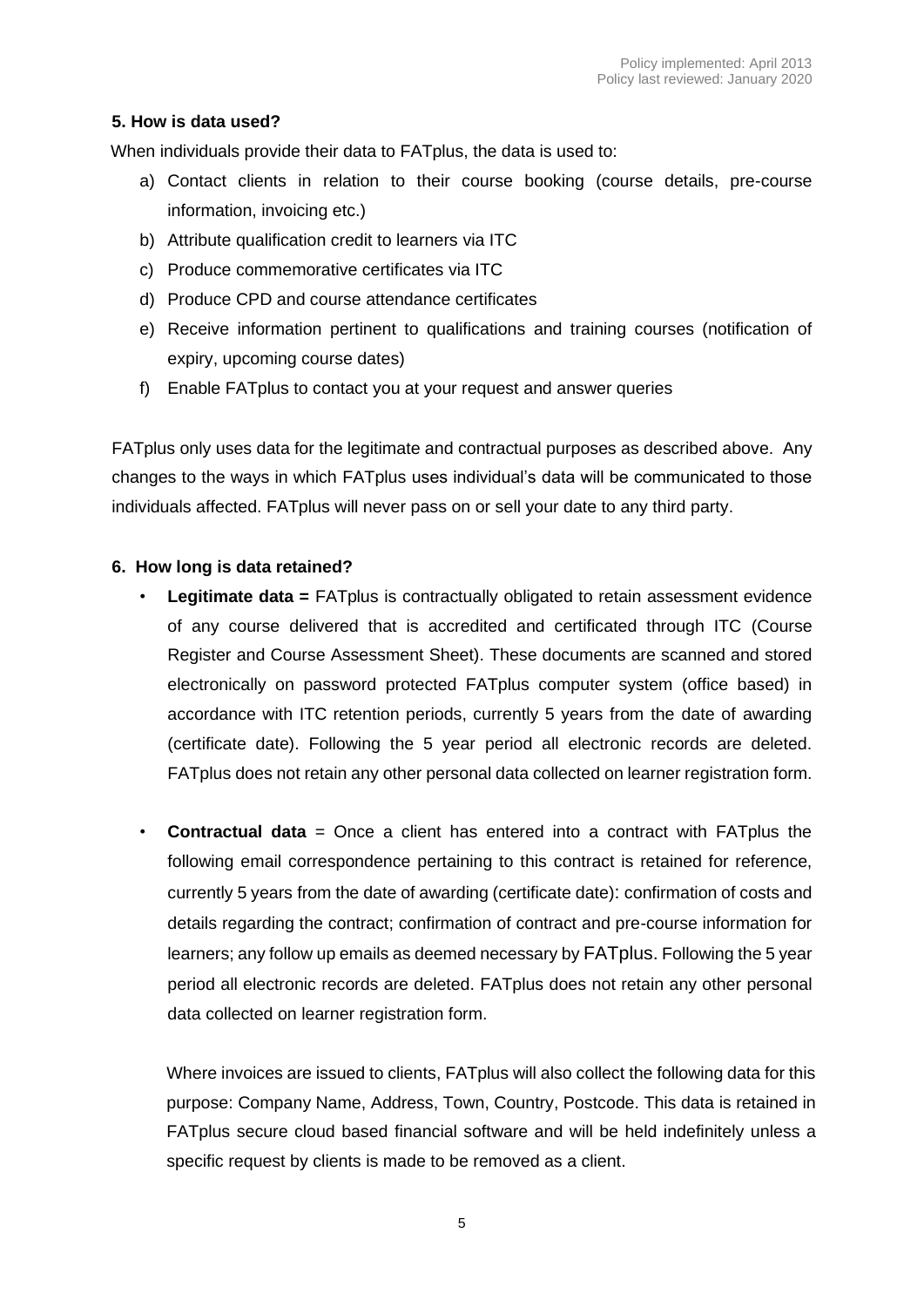### **5. How is data used?**

When individuals provide their data to FATplus, the data is used to:

- a) Contact clients in relation to their course booking (course details, pre-course information, invoicing etc.)
- b) Attribute qualification credit to learners via ITC
- c) Produce commemorative certificates via ITC
- d) Produce CPD and course attendance certificates
- e) Receive information pertinent to qualifications and training courses (notification of expiry, upcoming course dates)
- f) Enable FATplus to contact you at your request and answer queries

FATplus only uses data for the legitimate and contractual purposes as described above. Any changes to the ways in which FATplus uses individual's data will be communicated to those individuals affected. FATplus will never pass on or sell your date to any third party.

### **6. How long is data retained?**

- **Legitimate data =** FATplus is contractually obligated to retain assessment evidence of any course delivered that is accredited and certificated through ITC (Course Register and Course Assessment Sheet). These documents are scanned and stored electronically on password protected FATplus computer system (office based) in accordance with ITC retention periods, currently 5 years from the date of awarding (certificate date). Following the 5 year period all electronic records are deleted. FATplus does not retain any other personal data collected on learner registration form.
- **Contractual data** = Once a client has entered into a contract with FATplus the following email correspondence pertaining to this contract is retained for reference, currently 5 years from the date of awarding (certificate date): confirmation of costs and details regarding the contract; confirmation of contract and pre-course information for learners; any follow up emails as deemed necessary by FATplus. Following the 5 year period all electronic records are deleted. FATplus does not retain any other personal data collected on learner registration form.

Where invoices are issued to clients, FATplus will also collect the following data for this purpose: Company Name, Address, Town, Country, Postcode. This data is retained in FATplus secure cloud based financial software and will be held indefinitely unless a specific request by clients is made to be removed as a client.